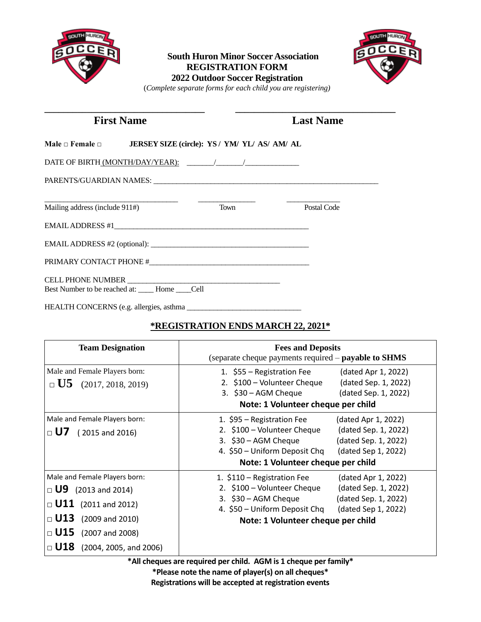

### **South Huron Minor Soccer Association REGISTRATION FORM 2022 Outdoor Soccer Registration**



(*Complete separate forms for each child you are registering)*

| <b>First Name</b>              |                                                               | <b>Last Name</b> |             |
|--------------------------------|---------------------------------------------------------------|------------------|-------------|
|                                | Male □ Female □ JERSEY SIZE (circle): YS / YM/ YL/ AS/ AM/ AL |                  |             |
|                                |                                                               |                  |             |
|                                |                                                               |                  |             |
|                                |                                                               |                  |             |
| Mailing address (include 911#) |                                                               | <b>Town</b>      | Postal Code |
|                                |                                                               |                  |             |
|                                |                                                               |                  |             |
|                                |                                                               |                  |             |
|                                |                                                               |                  |             |
|                                | Best Number to be reached at: _____ Home _____ Cell           |                  |             |

HEALTH CONCERNS (e.g. allergies, asthma

# **\*REGISTRATION ENDS MARCH 22, 2021\***

| <b>Team Designation</b>                                                                                                                                                                   | <b>Fees and Deposits</b><br>(separate cheque payments required – payable to SHMS                                                                                                                                                                         |  |  |
|-------------------------------------------------------------------------------------------------------------------------------------------------------------------------------------------|----------------------------------------------------------------------------------------------------------------------------------------------------------------------------------------------------------------------------------------------------------|--|--|
| Male and Female Players born:<br>$\Box$ U5 (2017, 2018, 2019)                                                                                                                             | 1. \$55 – Registration Fee<br>(dated Apr 1, 2022)<br>2. \$100 – Volunteer Cheque<br>(dated Sep. 1, 2022)<br>$3.$ \$30 – AGM Cheque<br>(dated Sep. 1, 2022)<br>Note: 1 Volunteer cheque per child                                                         |  |  |
| Male and Female Players born:<br>$\Box$ U7 (2015 and 2016)                                                                                                                                | (dated Apr 1, 2022)<br>1. \$95 – Registration Fee<br>2. \$100 - Volunteer Cheque<br>(dated Sep. 1, 2022)<br>$3.$ \$30 – AGM Cheque<br>(dated Sep. 1, 2022)<br>4. \$50 – Uniform Deposit Chq<br>(dated Sep 1, 2022)<br>Note: 1 Volunteer cheque per child |  |  |
| Male and Female Players born:<br>$\Box$ U9 (2013 and 2014)<br>$\Box$ U11 (2011 and 2012)<br>$\Box$ U13 (2009 and 2010)<br>$\Box$ U15 (2007 and 2008)<br>$\Box$ U18 (2004, 2005, and 2006) | (dated Apr 1, 2022)<br>1. \$110 – Registration Fee<br>(dated Sep. 1, 2022)<br>2. \$100 - Volunteer Cheque<br>3. $$30 - AGM$ Cheque<br>(dated Sep. 1, 2022)<br>4. \$50 – Uniform Deposit Chq<br>(dated Sep 1, 2022)<br>Note: 1 Volunteer cheque per child |  |  |

**\*All cheques are required per child. AGM is 1 cheque per family\***

**\*Please note the name of player(s) on all cheques\* Registrations will be accepted at registration events**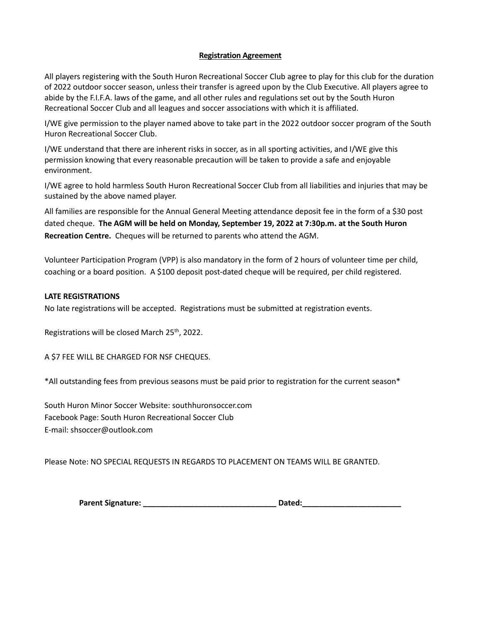### **Registration Agreement**

All players registering with the South Huron Recreational Soccer Club agree to play for this club for the duration of 2022 outdoor soccer season, unless their transfer is agreed upon by the Club Executive. All players agree to abide by the F.I.F.A. laws of the game, and all other rules and regulations set out by the South Huron Recreational Soccer Club and all leagues and soccer associations with which it is affiliated.

I/WE give permission to the player named above to take part in the 2022 outdoor soccer program of the South Huron Recreational Soccer Club.

I/WE understand that there are inherent risks in soccer, as in all sporting activities, and I/WE give this permission knowing that every reasonable precaution will be taken to provide a safe and enjoyable environment.

I/WE agree to hold harmless South Huron Recreational Soccer Club from all liabilities and injuries that may be sustained by the above named player.

All families are responsible for the Annual General Meeting attendance deposit fee in the form of a \$30 post dated cheque. **The AGM will be held on Monday, September 19, 2022 at 7:30p.m. at the South Huron Recreation Centre.** Cheques will be returned to parents who attend the AGM.

Volunteer Participation Program (VPP) is also mandatory in the form of 2 hours of volunteer time per child, coaching or a board position. A \$100 deposit post-dated cheque will be required, per child registered.

### **LATE REGISTRATIONS**

No late registrations will be accepted. Registrations must be submitted at registration events.

Registrations will be closed March 25<sup>th</sup>, 2022.

A \$7 FEE WILL BE CHARGED FOR NSF CHEQUES.

\*All outstanding fees from previous seasons must be paid prior to registration for the current season\*

South Huron Minor Soccer Website: southhuronsoccer.com Facebook Page: South Huron Recreational Soccer Club E-mail: shsoccer@outlook.com

Please Note: NO SPECIAL REQUESTS IN REGARDS TO PLACEMENT ON TEAMS WILL BE GRANTED.

| <b>Parent Signature:</b><br>Dated: |  |
|------------------------------------|--|
|------------------------------------|--|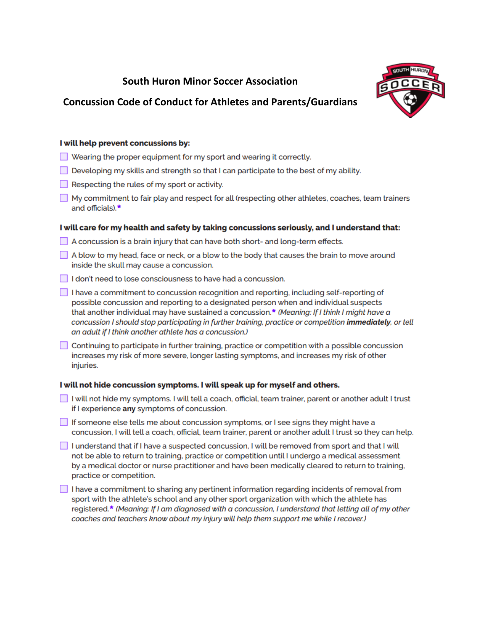# **South Huron Minor Soccer Association**



## **Concussion Code of Conduct for Athletes and Parents/Guardians**

### I will help prevent concussions by:

- $\Box$  Wearing the proper equipment for my sport and wearing it correctly.
- Developing my skills and strength so that I can participate to the best of my ability.
- $\Box$  Respecting the rules of my sport or activity.
- My commitment to fair play and respect for all (respecting other athletes, coaches, team trainers and officials).\*

### I will care for my health and safety by taking concussions seriously, and I understand that:

- A concussion is a brain injury that can have both short- and long-term effects.
- A blow to my head, face or neck, or a blow to the body that causes the brain to move around inside the skull may cause a concussion.
- I don't need to lose consciousness to have had a concussion.
- $\Box$  I have a commitment to concussion recognition and reporting, including self-reporting of possible concussion and reporting to a designated person when and individual suspects that another individual may have sustained a concussion.\* (Meaning: If I think I might have a concussion I should stop participating in further training, practice or competition immediately, or tell an adult if I think another athlete has a concussion.)
- □ Continuing to participate in further training, practice or competition with a possible concussion increases my risk of more severe, longer lasting symptoms, and increases my risk of other injuries.

### I will not hide concussion symptoms. I will speak up for myself and others.

- I will not hide my symptoms. I will tell a coach, official, team trainer, parent or another adult I trust if I experience any symptoms of concussion.
- **Solution** If someone else tells me about concussion symptoms, or I see signs they might have a concussion, I will tell a coach, official, team trainer, parent or another adult I trust so they can help.
- I understand that if I have a suspected concussion, I will be removed from sport and that I will not be able to return to training, practice or competition until I undergo a medical assessment by a medical doctor or nurse practitioner and have been medically cleared to return to training, practice or competition.
- $\Box$  I have a commitment to sharing any pertinent information regarding incidents of removal from sport with the athlete's school and any other sport organization with which the athlete has registered.\* (Meaning: If I am diagnosed with a concussion, I understand that letting all of my other coaches and teachers know about my injury will help them support me while I recover.)